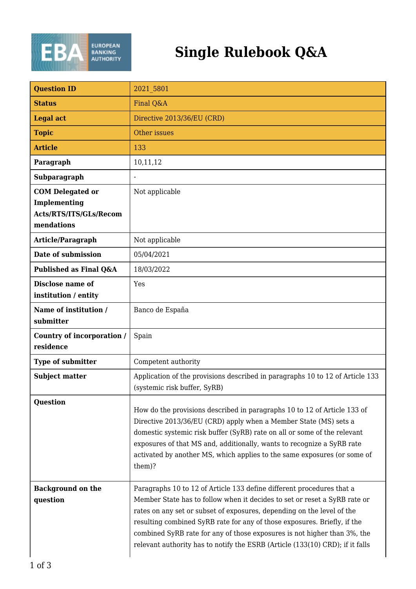

## **Single Rulebook Q&A**

| <b>Question ID</b>                                                              | 2021 5801                                                                                                                                                                                                                                                                                                                                                                                                                                                             |
|---------------------------------------------------------------------------------|-----------------------------------------------------------------------------------------------------------------------------------------------------------------------------------------------------------------------------------------------------------------------------------------------------------------------------------------------------------------------------------------------------------------------------------------------------------------------|
| <b>Status</b>                                                                   | Final Q&A                                                                                                                                                                                                                                                                                                                                                                                                                                                             |
| <b>Legal act</b>                                                                | Directive 2013/36/EU (CRD)                                                                                                                                                                                                                                                                                                                                                                                                                                            |
| <b>Topic</b>                                                                    | Other issues                                                                                                                                                                                                                                                                                                                                                                                                                                                          |
| <b>Article</b>                                                                  | 133                                                                                                                                                                                                                                                                                                                                                                                                                                                                   |
| Paragraph                                                                       | 10,11,12                                                                                                                                                                                                                                                                                                                                                                                                                                                              |
| Subparagraph                                                                    | $\blacksquare$                                                                                                                                                                                                                                                                                                                                                                                                                                                        |
| <b>COM</b> Delegated or<br>Implementing<br>Acts/RTS/ITS/GLs/Recom<br>mendations | Not applicable                                                                                                                                                                                                                                                                                                                                                                                                                                                        |
| Article/Paragraph                                                               | Not applicable                                                                                                                                                                                                                                                                                                                                                                                                                                                        |
| Date of submission                                                              | 05/04/2021                                                                                                                                                                                                                                                                                                                                                                                                                                                            |
| Published as Final Q&A                                                          | 18/03/2022                                                                                                                                                                                                                                                                                                                                                                                                                                                            |
| Disclose name of<br>institution / entity                                        | Yes                                                                                                                                                                                                                                                                                                                                                                                                                                                                   |
| Name of institution /<br>submitter                                              | Banco de España                                                                                                                                                                                                                                                                                                                                                                                                                                                       |
| Country of incorporation /<br>residence                                         | Spain                                                                                                                                                                                                                                                                                                                                                                                                                                                                 |
| Type of submitter                                                               | Competent authority                                                                                                                                                                                                                                                                                                                                                                                                                                                   |
| <b>Subject matter</b>                                                           | Application of the provisions described in paragraphs 10 to 12 of Article 133<br>(systemic risk buffer, SyRB)                                                                                                                                                                                                                                                                                                                                                         |
| <b>Question</b>                                                                 | How do the provisions described in paragraphs 10 to 12 of Article 133 of<br>Directive 2013/36/EU (CRD) apply when a Member State (MS) sets a<br>domestic systemic risk buffer (SyRB) rate on all or some of the relevant<br>exposures of that MS and, additionally, wants to recognize a SyRB rate<br>activated by another MS, which applies to the same exposures (or some of<br>them)?                                                                              |
| <b>Background on the</b><br>question                                            | Paragraphs 10 to 12 of Article 133 define different procedures that a<br>Member State has to follow when it decides to set or reset a SyRB rate or<br>rates on any set or subset of exposures, depending on the level of the<br>resulting combined SyRB rate for any of those exposures. Briefly, if the<br>combined SyRB rate for any of those exposures is not higher than 3%, the<br>relevant authority has to notify the ESRB (Article (133(10) CRD); if it falls |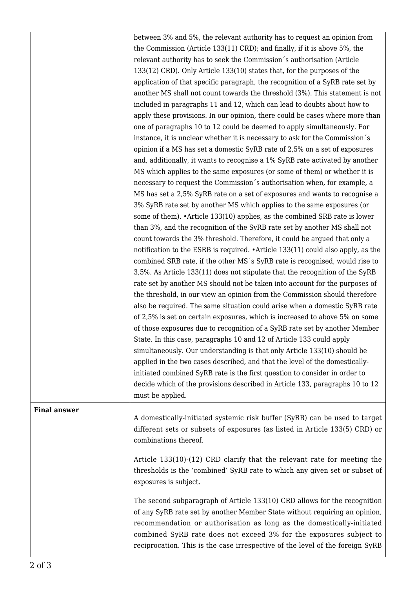|                     | between 3% and 5%, the relevant authority has to request an opinion from<br>the Commission (Article 133(11) CRD); and finally, if it is above 5%, the<br>relevant authority has to seek the Commission's authorisation (Article<br>133(12) CRD). Only Article 133(10) states that, for the purposes of the<br>application of that specific paragraph, the recognition of a SyRB rate set by<br>another MS shall not count towards the threshold (3%). This statement is not<br>included in paragraphs 11 and 12, which can lead to doubts about how to<br>apply these provisions. In our opinion, there could be cases where more than<br>one of paragraphs 10 to 12 could be deemed to apply simultaneously. For<br>instance, it is unclear whether it is necessary to ask for the Commission's<br>opinion if a MS has set a domestic SyRB rate of 2,5% on a set of exposures<br>and, additionally, it wants to recognise a 1% SyRB rate activated by another<br>MS which applies to the same exposures (or some of them) or whether it is<br>necessary to request the Commission's authorisation when, for example, a<br>MS has set a 2,5% SyRB rate on a set of exposures and wants to recognise a<br>3% SyRB rate set by another MS which applies to the same exposures (or<br>some of them). • Article 133(10) applies, as the combined SRB rate is lower<br>than 3%, and the recognition of the SyRB rate set by another MS shall not<br>count towards the 3% threshold. Therefore, it could be argued that only a<br>notification to the ESRB is required. • Article 133(11) could also apply, as the<br>combined SRB rate, if the other MS's SyRB rate is recognised, would rise to<br>3,5%. As Article 133(11) does not stipulate that the recognition of the SyRB<br>rate set by another MS should not be taken into account for the purposes of<br>the threshold, in our view an opinion from the Commission should therefore |
|---------------------|------------------------------------------------------------------------------------------------------------------------------------------------------------------------------------------------------------------------------------------------------------------------------------------------------------------------------------------------------------------------------------------------------------------------------------------------------------------------------------------------------------------------------------------------------------------------------------------------------------------------------------------------------------------------------------------------------------------------------------------------------------------------------------------------------------------------------------------------------------------------------------------------------------------------------------------------------------------------------------------------------------------------------------------------------------------------------------------------------------------------------------------------------------------------------------------------------------------------------------------------------------------------------------------------------------------------------------------------------------------------------------------------------------------------------------------------------------------------------------------------------------------------------------------------------------------------------------------------------------------------------------------------------------------------------------------------------------------------------------------------------------------------------------------------------------------------------------------------------------------------------------------------------------------------------------------|
|                     | also be required. The same situation could arise when a domestic SyRB rate<br>of 2,5% is set on certain exposures, which is increased to above 5% on some<br>of those exposures due to recognition of a SyRB rate set by another Member<br>State. In this case, paragraphs 10 and 12 of Article 133 could apply<br>simultaneously. Our understanding is that only Article 133(10) should be<br>applied in the two cases described, and that the level of the domestically-<br>initiated combined SyRB rate is the first question to consider in order to<br>decide which of the provisions described in Article 133, paragraphs 10 to 12<br>must be applied.                                                                                                                                                                                                                                                                                                                                                                                                                                                                                                                                                                                                                                                                                                                                                                                                                                                                                                                                                                                                                                                                                                                                                                                                                                                                             |
| <b>Final answer</b> | A domestically-initiated systemic risk buffer (SyRB) can be used to target<br>different sets or subsets of exposures (as listed in Article 133(5) CRD) or<br>combinations thereof.                                                                                                                                                                                                                                                                                                                                                                                                                                                                                                                                                                                                                                                                                                                                                                                                                                                                                                                                                                                                                                                                                                                                                                                                                                                                                                                                                                                                                                                                                                                                                                                                                                                                                                                                                       |
|                     | Article 133(10)-(12) CRD clarify that the relevant rate for meeting the<br>thresholds is the 'combined' SyRB rate to which any given set or subset of<br>exposures is subject.                                                                                                                                                                                                                                                                                                                                                                                                                                                                                                                                                                                                                                                                                                                                                                                                                                                                                                                                                                                                                                                                                                                                                                                                                                                                                                                                                                                                                                                                                                                                                                                                                                                                                                                                                           |
|                     | The second subparagraph of Article 133(10) CRD allows for the recognition<br>of any SyRB rate set by another Member State without requiring an opinion,<br>recommendation or authorisation as long as the domestically-initiated<br>combined SyRB rate does not exceed 3% for the exposures subject to<br>reciprocation. This is the case irrespective of the level of the foreign SyRB                                                                                                                                                                                                                                                                                                                                                                                                                                                                                                                                                                                                                                                                                                                                                                                                                                                                                                                                                                                                                                                                                                                                                                                                                                                                                                                                                                                                                                                                                                                                                  |